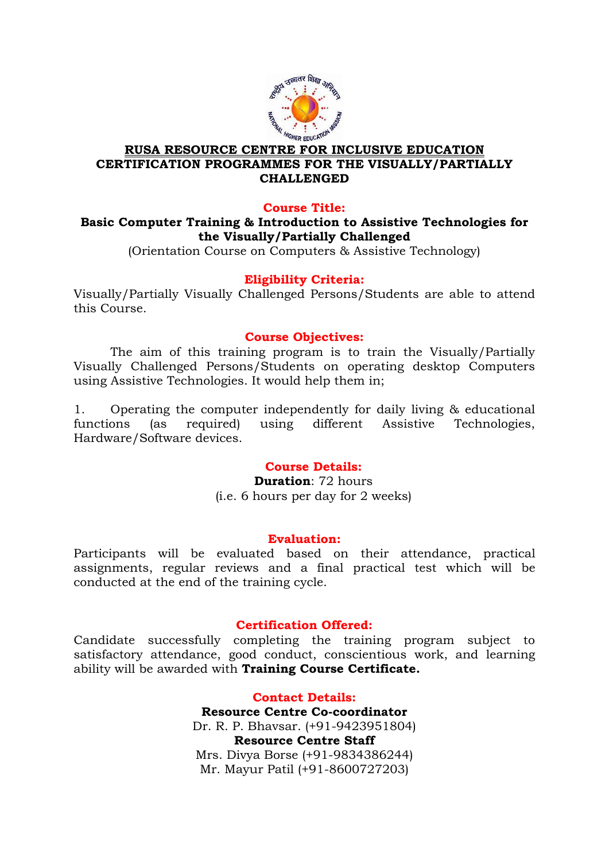

## **RUSA RESOURCE CENTRE FOR INCLUSIVE EDUCATION CERTIFICATION PROGRAMMES FOR THE VISUALLY/PARTIALLY CHALLENGED**

### **Course Title:**

# **Basic Computer Training & Introduction to Assistive Technologies for the Visually/Partially Challenged**

(Orientation Course on Computers & Assistive Technology)

# **Eligibility Criteria:**

Visually/Partially Visually Challenged Persons/Students are able to attend this Course.

### **Course Objectives:**

The aim of this training program is to train the Visually/Partially Visually Challenged Persons/Students on operating desktop Computers using Assistive Technologies. It would help them in;

1. Operating the computer independently for daily living & educational functions (as required) using different Assistive Technologies, Hardware/Software devices.

# **Course Details:**

**Duration**: 72 hours (i.e. 6 hours per day for 2 weeks)

#### **Evaluation:**

Participants will be evaluated based on their attendance, practical assignments, regular reviews and a final practical test which will be conducted at the end of the training cycle.

### **Certification Offered:**

Candidate successfully completing the training program subject to satisfactory attendance, good conduct, conscientious work, and learning ability will be awarded with **Training Course Certificate.**

### **Contact Details:**

**Resource Centre Co-coordinator** Dr. R. P. Bhavsar. (+91-9423951804) **Resource Centre Staff** Mrs. Divya Borse (+91-9834386244) Mr. Mayur Patil (+91-8600727203)